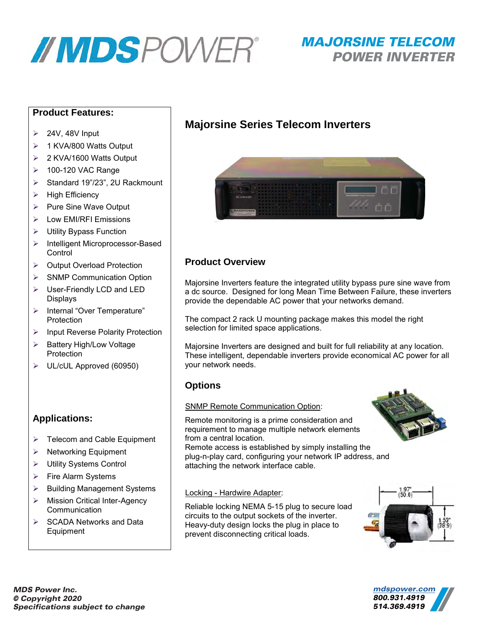

# MAJORSINE TELECOM POWER INVERTER

#### **Product Features:**

- $\geq$  24V, 48V Input
- ▶ 1 KVA/800 Watts Output
- 2 KVA/1600 Watts Output
- > 100-120 VAC Range
- ▶ Standard 19"/23", 2U Rackmount
- $\triangleright$  High Efficiency
- $\triangleright$  Pure Sine Wave Output
- > Low EMI/RFI Emissions
- $\triangleright$  Utility Bypass Function
- > Intelligent Microprocessor-Based **Control**
- ▶ Output Overload Protection
- ▶ SNMP Communication Option
- User-Friendly LCD and LED Displays
- > Internal "Over Temperature" Protection
- $\triangleright$  Input Reverse Polarity Protection
- $\triangleright$  Battery High/Low Voltage Protection
- UL/cUL Approved (60950)

#### **Applications:**

- $\triangleright$  Telecom and Cable Equipment
- $\triangleright$  Networking Equipment
- Utility Systems Control
- $\triangleright$  Fire Alarm Systems
- $\triangleright$  Building Management Systems
- > Mission Critical Inter-Agency **Communication**
- $\triangleright$  SCADA Networks and Data **Equipment**

## **Majorsine Series Telecom Inverters**



### **Product Overview**

Majorsine Inverters feature the integrated utility bypass pure sine wave from a dc source. Designed for long Mean Time Between Failure, these inverters provide the dependable AC power that your networks demand.

The compact 2 rack U mounting package makes this model the right selection for limited space applications.

Majorsine Inverters are designed and built for full reliability at any location. These intelligent, dependable inverters provide economical AC power for all your network needs.

#### **Options**

#### SNMP Remote Communication Option:

Remote monitoring is a prime consideration and requirement to manage multiple network elements from a central location.

Remote access is established by simply installing the plug-n-play card, configuring your network IP address, and attaching the network interface cable.

#### Locking - Hardwire Adapter:

Reliable locking NEMA 5-15 plug to secure load circuits to the output sockets of the inverter. Heavy-duty design locks the plug in place to prevent disconnecting critical loads.